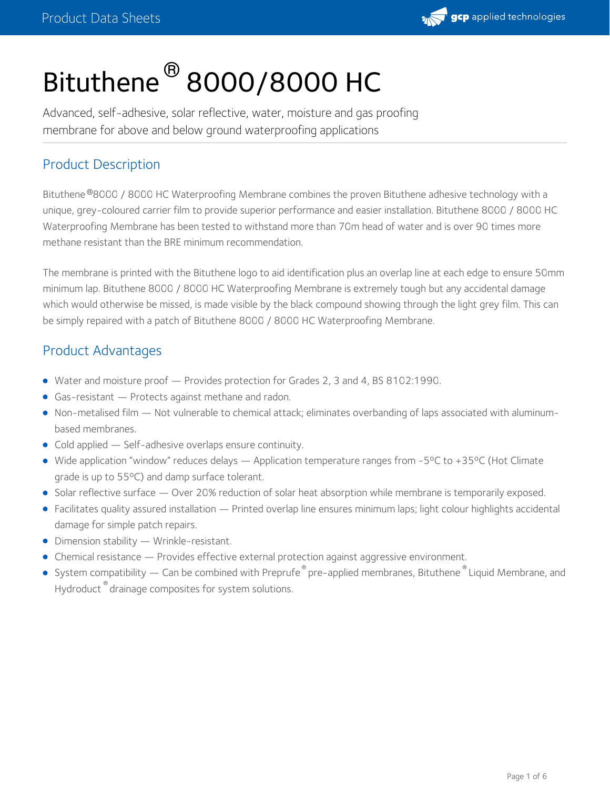

# Bituthene $^\circledR$  8000/8000 HC

Advanced, self-adhesive, solar reflective, water, moisture and gas proofing membrane for above and below ground waterproofing applications

# Product Description

Bituthene®8000 / 8000 HC Waterproofing Membrane combines the proven Bituthene adhesive technology with a unique, grey-coloured carrier film to provide superior performance and easier installation. Bituthene 8000 / 8000 HC Waterproofing Membrane has been tested to withstand more than 70m head of water and is over 90 times more methane resistant than the BRE minimum recommendation.

The membrane is printed with the Bituthene logo to aid identification plus an overlap line at each edge to ensure 50mm minimum lap. Bituthene 8000 / 8000 HC Waterproofing Membrane is extremely tough but any accidental damage which would otherwise be missed, is made visible by the black compound showing through the light grey film. This can be simply repaired with a patch of Bituthene 8000 / 8000 HC Waterproofing Membrane.

## Product Advantages

- Water and moisture proof Provides protection for Grades 2, 3 and 4, BS 8102:1990.
- Gas-resistant Protects against methane and radon.
- Non-metalised film Not vulnerable to chemical attack; eliminates overbanding of laps associated with aluminum based membranes.
- Cold applied Self-adhesive overlaps ensure continuity.
- Wide application "window" reduces delays Application temperature ranges from -5°C to +35°C (Hot Climate grade is up to 55ºC) and damp surface tolerant.
- Solar reflective surface Over 20% reduction of solar heat absorption while membrane is temporarily exposed.
- Facilitates quality assured installation Printed overlap line ensures minimum laps; light colour highlights accidental damage for simple patch repairs.
- Dimension stability Wrinkle-resistant.
- Chemical resistance Provides effective external protection against aggressive environment.
- System compatibility Can be combined with Preprufe  $^\circ$  pre-applied membranes, Bituthene  $^\circ$  Liquid Membrane, and Hydroduct  $\degree$  drainage composites for system solutions.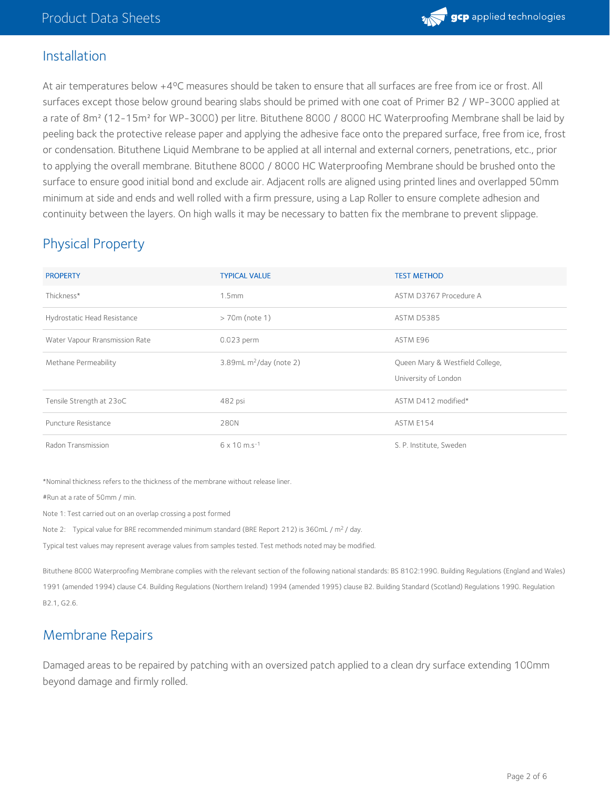

## Installation

At air temperatures below +4°C measures should be taken to ensure that all surfaces are free from ice or frost. All surfaces except those below ground bearing slabs should be primed with one coat of Primer B2 / WP-3000 applied at a rate of 8m<sup>2</sup> (12-15m<sup>2</sup> for WP-3000) per litre. Bituthene 8000 / 8000 HC Waterproofing Membrane shall be laid by peeling back the protective release paper and applying the adhesive face onto the prepared surface, free from ice, frost or condensation. Bituthene Liquid Membrane to be applied at all internal and external corners, penetrations, etc., prior to applying the overall membrane. Bituthene 8000 / 8000 HC Waterproofing Membrane should be brushed onto the surface to ensure good initial bond and exclude air. Adjacent rolls are aligned using printed lines and overlapped 50mm minimum at side and ends and well rolled with a firm pressure, using a Lap Roller to ensure complete adhesion and continuity between the layers. On high walls it may be necessary to batten fix the membrane to prevent slippage.

# Physical Property

| <b>PROPERTY</b>                | <b>TYPICAL VALUE</b>                   | <b>TEST METHOD</b>                                      |
|--------------------------------|----------------------------------------|---------------------------------------------------------|
| Thickness*                     | 1.5 <sub>mm</sub>                      | ASTM D3767 Procedure A                                  |
| Hydrostatic Head Resistance    | $>$ 70m (note 1)                       | <b>ASTM D5385</b>                                       |
| Water Vapour Rransmission Rate | 0.023 perm                             | ASTM E96                                                |
| Methane Permeability           | $3.89$ mL m <sup>2</sup> /day (note 2) | Queen Mary & Westfield College,<br>University of London |
| Tensile Strength at 23oC       | 482 psi                                | ASTM D412 modified*                                     |
| Puncture Resistance            | 280N                                   | ASTM E154                                               |
| Radon Transmission             | $6 \times 10$ m.s <sup>-1</sup>        | S. P. Institute, Sweden                                 |

\*Nominal thickness refers to the thickness of the membrane without release liner.

#Run at a rate of 50mm / min.

Note 1: Test carried out on an overlap crossing a post formed

Note 2: Typical value for BRE recommended minimum standard (BRE Report 212) is 360mL /  $m^2$  / day.

Typical test values may represent average values from samples tested. Test methods noted may be modified.

Bituthene 8000 Waterproofing Membrane complies with the relevant section of the following national standards: BS 8102:1990. Building Regulations (England and Wales) 1991 (amended 1994) clause C4. Building Regulations (Northern Ireland) 1994 (amended 1995) clause B2. Building Standard (Scotland) Regulations 1990. Regulation B2.1, G2.6.

## Membrane Repairs

Damaged areas to be repaired by patching with an oversized patch applied to a clean dry surface extending 100mm beyond damage and firmly rolled.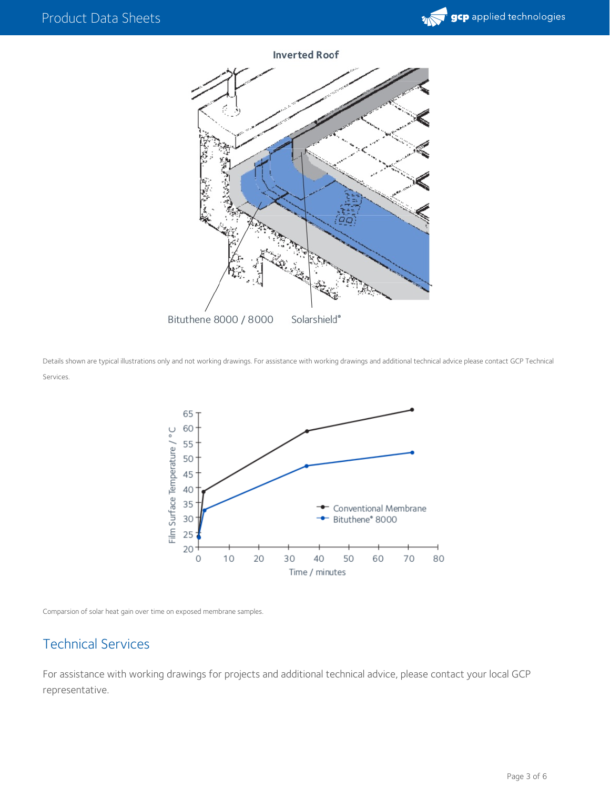

**Inverted Roof** 



Details shown are typical illustrations only and not working drawings. For assistance with working drawings and additional technical advice please contact GCP Technical Services.



Comparsion of solar heat gain over time on exposed membrane samples.

# Technical Services

For assistance with working drawings for projects and additional technical advice, please contact your local GCP representative.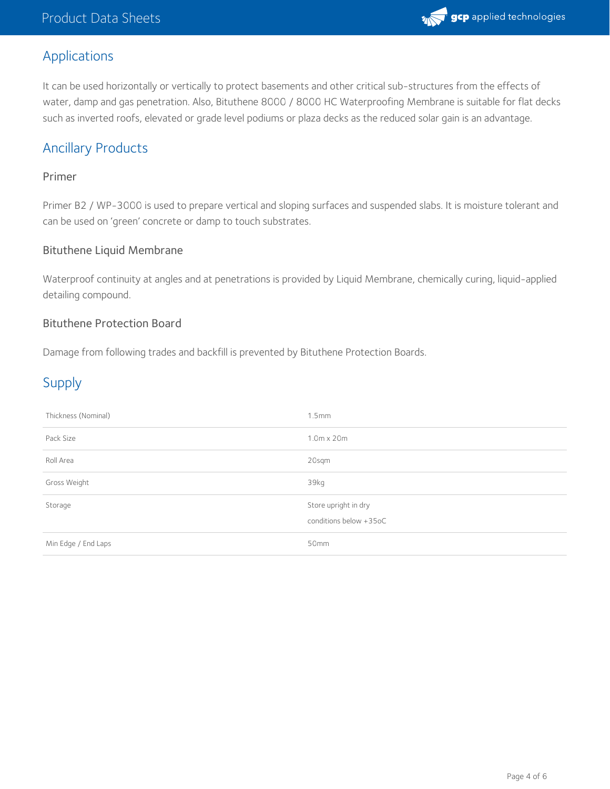

## Applications

It can be used horizontally or vertically to protect basements and other critical sub-structures from the effects of water, damp and gas penetration. Also, Bituthene 8000 / 8000 HC Waterproofing Membrane is suitable for flat decks such as inverted roofs, elevated or grade level podiums or plaza decks as the reduced solar gain is an advantage.

# Ancillary Products

#### Primer

Primer B2 /WP-3000 is used to prepare vertical and sloping surfaces and suspended slabs. It is moisture tolerant and can be used on 'green' concrete or damp to touch substrates.

#### Bituthene Liquid Membrane

Waterproof continuity at angles and at penetrations is provided by Liquid Membrane, chemically curing, liquid-applied detailing compound.

#### Bituthene Protection Board

Damage from following trades and backfill is prevented by Bituthene Protection Boards.

# Supply

| Thickness (Nominal) | 1.5mm                                          |
|---------------------|------------------------------------------------|
| Pack Size           | $1.0m \times 20m$                              |
| Roll Area           | 20sqm                                          |
| Gross Weight        | 39kg                                           |
| Storage             | Store upright in dry<br>conditions below +35oC |
| Min Edge / End Laps | 50mm                                           |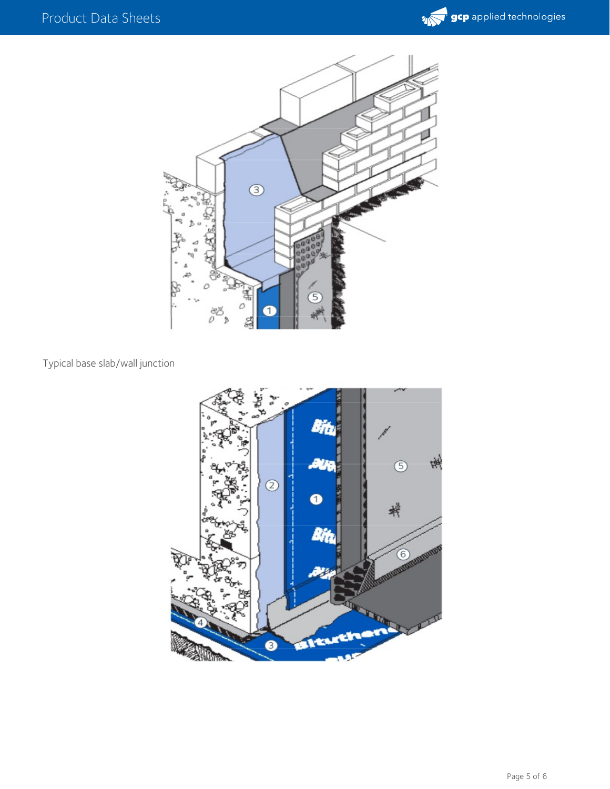



### Typical base slab/wall junction